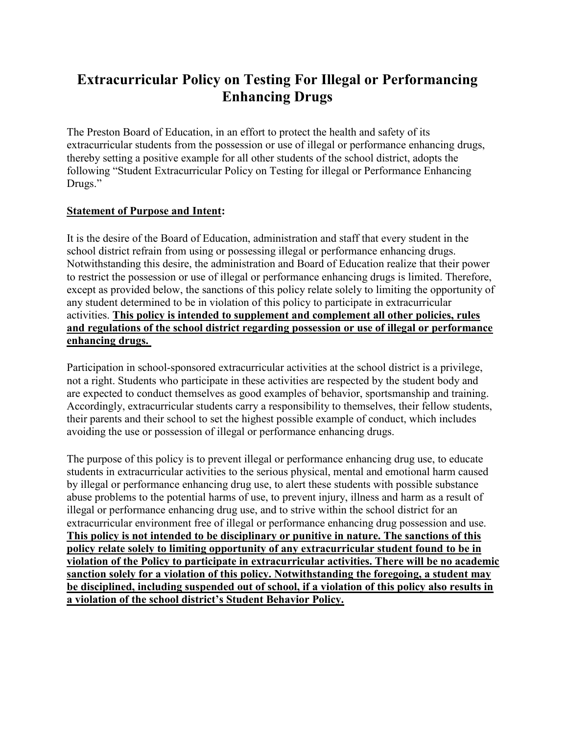# **Extracurricular Policy on Testing For Illegal or Performancing Enhancing Drugs**

The Preston Board of Education, in an effort to protect the health and safety of its extracurricular students from the possession or use of illegal or performance enhancing drugs, thereby setting a positive example for all other students of the school district, adopts the following "Student Extracurricular Policy on Testing for illegal or Performance Enhancing Drugs."

#### **Statement of Purpose and Intent:**

It is the desire of the Board of Education, administration and staff that every student in the school district refrain from using or possessing illegal or performance enhancing drugs. Notwithstanding this desire, the administration and Board of Education realize that their power to restrict the possession or use of illegal or performance enhancing drugs is limited. Therefore, except as provided below, the sanctions of this policy relate solely to limiting the opportunity of any student determined to be in violation of this policy to participate in extracurricular activities. **This policy is intended to supplement and complement all other policies, rules and regulations of the school district regarding possession or use of illegal or performance enhancing drugs.**

Participation in school-sponsored extracurricular activities at the school district is a privilege, not a right. Students who participate in these activities are respected by the student body and are expected to conduct themselves as good examples of behavior, sportsmanship and training. Accordingly, extracurricular students carry a responsibility to themselves, their fellow students, their parents and their school to set the highest possible example of conduct, which includes avoiding the use or possession of illegal or performance enhancing drugs.

The purpose of this policy is to prevent illegal or performance enhancing drug use, to educate students in extracurricular activities to the serious physical, mental and emotional harm caused by illegal or performance enhancing drug use, to alert these students with possible substance abuse problems to the potential harms of use, to prevent injury, illness and harm as a result of illegal or performance enhancing drug use, and to strive within the school district for an extracurricular environment free of illegal or performance enhancing drug possession and use. **This policy is not intended to be disciplinary or punitive in nature. The sanctions of this policy relate solely to limiting opportunity of any extracurricular student found to be in violation of the Policy to participate in extracurricular activities. There will be no academic sanction solely for a violation of this policy. Notwithstanding the foregoing, a student may be disciplined, including suspended out of school, if a violation of this policy also results in a violation of the school district's Student Behavior Policy.**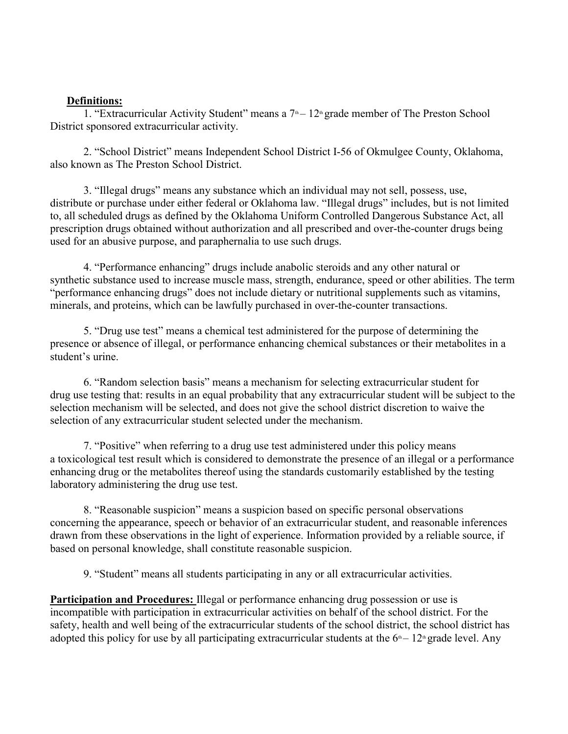#### **Definitions:**

1. "Extracurricular Activity Student" means a  $7<sup>th</sup> - 12<sup>th</sup>$  grade member of The Preston School District sponsored extracurricular activity.

2. "School District" means Independent School District I-56 of Okmulgee County, Oklahoma, also known as The Preston School District.

3. "Illegal drugs" means any substance which an individual may not sell, possess, use, distribute or purchase under either federal or Oklahoma law. "Illegal drugs" includes, but is not limited to, all scheduled drugs as defined by the Oklahoma Uniform Controlled Dangerous Substance Act, all prescription drugs obtained without authorization and all prescribed and over-the-counter drugs being used for an abusive purpose, and paraphernalia to use such drugs.

4. "Performance enhancing" drugs include anabolic steroids and any other natural or synthetic substance used to increase muscle mass, strength, endurance, speed or other abilities. The term "performance enhancing drugs" does not include dietary or nutritional supplements such as vitamins, minerals, and proteins, which can be lawfully purchased in over-the-counter transactions.

5. "Drug use test" means a chemical test administered for the purpose of determining the presence or absence of illegal, or performance enhancing chemical substances or their metabolites in a student's urine.

6. "Random selection basis" means a mechanism for selecting extracurricular student for drug use testing that: results in an equal probability that any extracurricular student will be subject to the selection mechanism will be selected, and does not give the school district discretion to waive the selection of any extracurricular student selected under the mechanism.

7. "Positive" when referring to a drug use test administered under this policy means a toxicological test result which is considered to demonstrate the presence of an illegal or a performance enhancing drug or the metabolites thereof using the standards customarily established by the testing laboratory administering the drug use test.

8. "Reasonable suspicion" means a suspicion based on specific personal observations concerning the appearance, speech or behavior of an extracurricular student, and reasonable inferences drawn from these observations in the light of experience. Information provided by a reliable source, if based on personal knowledge, shall constitute reasonable suspicion.

9. "Student" means all students participating in any or all extracurricular activities.

**Participation and Procedures:** Illegal or performance enhancing drug possession or use is incompatible with participation in extracurricular activities on behalf of the school district. For the safety, health and well being of the extracurricular students of the school district, the school district has adopted this policy for use by all participating extracurricular students at the  $6<sup>th</sup> - 12<sup>th</sup>$  grade level. Any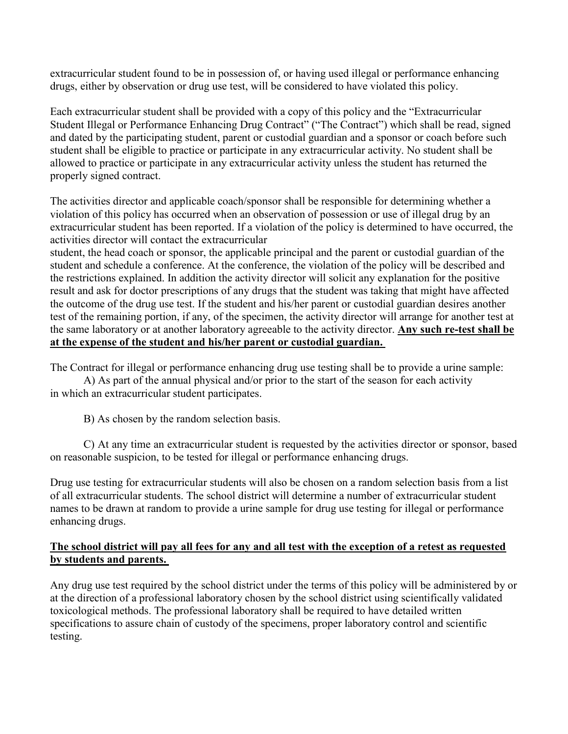extracurricular student found to be in possession of, or having used illegal or performance enhancing drugs, either by observation or drug use test, will be considered to have violated this policy.

Each extracurricular student shall be provided with a copy of this policy and the "Extracurricular Student Illegal or Performance Enhancing Drug Contract" ("The Contract") which shall be read, signed and dated by the participating student, parent or custodial guardian and a sponsor or coach before such student shall be eligible to practice or participate in any extracurricular activity. No student shall be allowed to practice or participate in any extracurricular activity unless the student has returned the properly signed contract.

The activities director and applicable coach/sponsor shall be responsible for determining whether a violation of this policy has occurred when an observation of possession or use of illegal drug by an extracurricular student has been reported. If a violation of the policy is determined to have occurred, the activities director will contact the extracurricular

student, the head coach or sponsor, the applicable principal and the parent or custodial guardian of the student and schedule a conference. At the conference, the violation of the policy will be described and the restrictions explained. In addition the activity director will solicit any explanation for the positive result and ask for doctor prescriptions of any drugs that the student was taking that might have affected the outcome of the drug use test. If the student and his/her parent or custodial guardian desires another test of the remaining portion, if any, of the specimen, the activity director will arrange for another test at the same laboratory or at another laboratory agreeable to the activity director. **Any such re-test shall be at the expense of the student and his/her parent or custodial guardian.**

The Contract for illegal or performance enhancing drug use testing shall be to provide a urine sample:

A) As part of the annual physical and/or prior to the start of the season for each activity in which an extracurricular student participates.

B) As chosen by the random selection basis.

C) At any time an extracurricular student is requested by the activities director or sponsor, based on reasonable suspicion, to be tested for illegal or performance enhancing drugs.

Drug use testing for extracurricular students will also be chosen on a random selection basis from a list of all extracurricular students. The school district will determine a number of extracurricular student names to be drawn at random to provide a urine sample for drug use testing for illegal or performance enhancing drugs.

# **The school district will pay all fees for any and all test with the exception of a retest as requested by students and parents.**

Any drug use test required by the school district under the terms of this policy will be administered by or at the direction of a professional laboratory chosen by the school district using scientifically validated toxicological methods. The professional laboratory shall be required to have detailed written specifications to assure chain of custody of the specimens, proper laboratory control and scientific testing.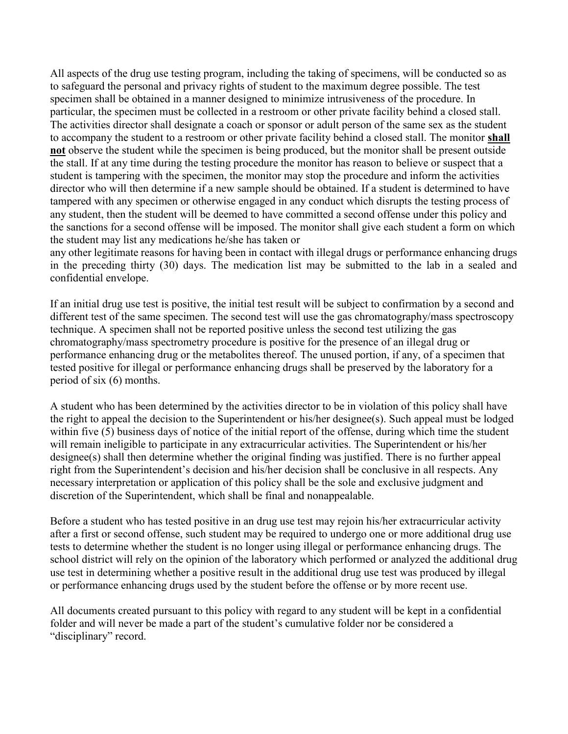All aspects of the drug use testing program, including the taking of specimens, will be conducted so as to safeguard the personal and privacy rights of student to the maximum degree possible. The test specimen shall be obtained in a manner designed to minimize intrusiveness of the procedure. In particular, the specimen must be collected in a restroom or other private facility behind a closed stall. The activities director shall designate a coach or sponsor or adult person of the same sex as the student to accompany the student to a restroom or other private facility behind a closed stall. The monitor **shall not** observe the student while the specimen is being produced, but the monitor shall be present outside the stall. If at any time during the testing procedure the monitor has reason to believe or suspect that a student is tampering with the specimen, the monitor may stop the procedure and inform the activities director who will then determine if a new sample should be obtained. If a student is determined to have tampered with any specimen or otherwise engaged in any conduct which disrupts the testing process of any student, then the student will be deemed to have committed a second offense under this policy and the sanctions for a second offense will be imposed. The monitor shall give each student a form on which the student may list any medications he/she has taken or

any other legitimate reasons for having been in contact with illegal drugs or performance enhancing drugs in the preceding thirty (30) days. The medication list may be submitted to the lab in a sealed and confidential envelope.

If an initial drug use test is positive, the initial test result will be subject to confirmation by a second and different test of the same specimen. The second test will use the gas chromatography/mass spectroscopy technique. A specimen shall not be reported positive unless the second test utilizing the gas chromatography/mass spectrometry procedure is positive for the presence of an illegal drug or performance enhancing drug or the metabolites thereof. The unused portion, if any, of a specimen that tested positive for illegal or performance enhancing drugs shall be preserved by the laboratory for a period of six (6) months.

A student who has been determined by the activities director to be in violation of this policy shall have the right to appeal the decision to the Superintendent or his/her designee(s). Such appeal must be lodged within five (5) business days of notice of the initial report of the offense, during which time the student will remain ineligible to participate in any extracurricular activities. The Superintendent or his/her designee(s) shall then determine whether the original finding was justified. There is no further appeal right from the Superintendent's decision and his/her decision shall be conclusive in all respects. Any necessary interpretation or application of this policy shall be the sole and exclusive judgment and discretion of the Superintendent, which shall be final and nonappealable.

Before a student who has tested positive in an drug use test may rejoin his/her extracurricular activity after a first or second offense, such student may be required to undergo one or more additional drug use tests to determine whether the student is no longer using illegal or performance enhancing drugs. The school district will rely on the opinion of the laboratory which performed or analyzed the additional drug use test in determining whether a positive result in the additional drug use test was produced by illegal or performance enhancing drugs used by the student before the offense or by more recent use.

All documents created pursuant to this policy with regard to any student will be kept in a confidential folder and will never be made a part of the student's cumulative folder nor be considered a "disciplinary" record.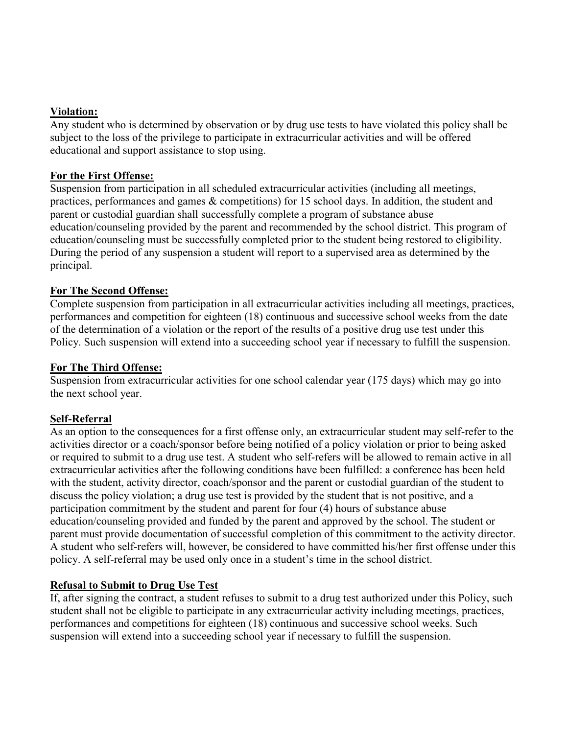# **Violation:**

Any student who is determined by observation or by drug use tests to have violated this policy shall be subject to the loss of the privilege to participate in extracurricular activities and will be offered educational and support assistance to stop using.

# **For the First Offense:**

Suspension from participation in all scheduled extracurricular activities (including all meetings, practices, performances and games & competitions) for 15 school days. In addition, the student and parent or custodial guardian shall successfully complete a program of substance abuse education/counseling provided by the parent and recommended by the school district. This program of education/counseling must be successfully completed prior to the student being restored to eligibility. During the period of any suspension a student will report to a supervised area as determined by the principal.

# **For The Second Offense:**

Complete suspension from participation in all extracurricular activities including all meetings, practices, performances and competition for eighteen (18) continuous and successive school weeks from the date of the determination of a violation or the report of the results of a positive drug use test under this Policy. Such suspension will extend into a succeeding school year if necessary to fulfill the suspension.

# **For The Third Offense:**

Suspension from extracurricular activities for one school calendar year (175 days) which may go into the next school year.

# **Self-Referral**

As an option to the consequences for a first offense only, an extracurricular student may self-refer to the activities director or a coach/sponsor before being notified of a policy violation or prior to being asked or required to submit to a drug use test. A student who self-refers will be allowed to remain active in all extracurricular activities after the following conditions have been fulfilled: a conference has been held with the student, activity director, coach/sponsor and the parent or custodial guardian of the student to discuss the policy violation; a drug use test is provided by the student that is not positive, and a participation commitment by the student and parent for four (4) hours of substance abuse education/counseling provided and funded by the parent and approved by the school. The student or parent must provide documentation of successful completion of this commitment to the activity director. A student who self-refers will, however, be considered to have committed his/her first offense under this policy. A self-referral may be used only once in a student's time in the school district.

# **Refusal to Submit to Drug Use Test**

If, after signing the contract, a student refuses to submit to a drug test authorized under this Policy, such student shall not be eligible to participate in any extracurricular activity including meetings, practices, performances and competitions for eighteen (18) continuous and successive school weeks. Such suspension will extend into a succeeding school year if necessary to fulfill the suspension.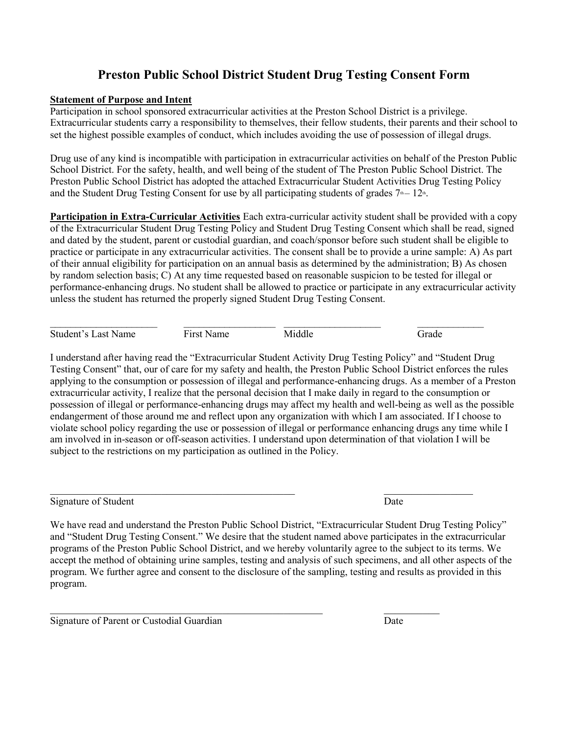# **Preston Public School District Student Drug Testing Consent Form**

#### **Statement of Purpose and Intent**

Participation in school sponsored extracurricular activities at the Preston School District is a privilege. Extracurricular students carry a responsibility to themselves, their fellow students, their parents and their school to set the highest possible examples of conduct, which includes avoiding the use of possession of illegal drugs.

Drug use of any kind is incompatible with participation in extracurricular activities on behalf of the Preston Public School District. For the safety, health, and well being of the student of The Preston Public School District. The Preston Public School District has adopted the attached Extracurricular Student Activities Drug Testing Policy and the Student Drug Testing Consent for use by all participating students of grades  $7<sup>th</sup> - 12<sup>th</sup>$ .

**Participation in Extra-Curricular Activities** Each extra-curricular activity student shall be provided with a copy of the Extracurricular Student Drug Testing Policy and Student Drug Testing Consent which shall be read, signed and dated by the student, parent or custodial guardian, and coach/sponsor before such student shall be eligible to practice or participate in any extracurricular activities. The consent shall be to provide a urine sample: A) As part of their annual eligibility for participation on an annual basis as determined by the administration; B) As chosen by random selection basis; C) At any time requested based on reasonable suspicion to be tested for illegal or performance-enhancing drugs. No student shall be allowed to practice or participate in any extracurricular activity unless the student has returned the properly signed Student Drug Testing Consent.

Student's Last Name First Name Middle Grade

 $\mathcal{L}_\mathcal{L} = \{ \mathcal{L}_\mathcal{L} = \{ \mathcal{L}_\mathcal{L} = \{ \mathcal{L}_\mathcal{L} = \{ \mathcal{L}_\mathcal{L} = \{ \mathcal{L}_\mathcal{L} = \{ \mathcal{L}_\mathcal{L} = \{ \mathcal{L}_\mathcal{L} = \{ \mathcal{L}_\mathcal{L} = \{ \mathcal{L}_\mathcal{L} = \{ \mathcal{L}_\mathcal{L} = \{ \mathcal{L}_\mathcal{L} = \{ \mathcal{L}_\mathcal{L} = \{ \mathcal{L}_\mathcal{L} = \{ \mathcal{L}_\mathcal{$ 

I understand after having read the "Extracurricular Student Activity Drug Testing Policy" and "Student Drug Testing Consent" that, our of care for my safety and health, the Preston Public School District enforces the rules applying to the consumption or possession of illegal and performance-enhancing drugs. As a member of a Preston extracurricular activity, I realize that the personal decision that I make daily in regard to the consumption or possession of illegal or performance-enhancing drugs may affect my health and well-being as well as the possible endangerment of those around me and reflect upon any organization with which I am associated. If I choose to violate school policy regarding the use or possession of illegal or performance enhancing drugs any time while I am involved in in-season or off-season activities. I understand upon determination of that violation I will be subject to the restrictions on my participation as outlined in the Policy.

Signature of Student Date

We have read and understand the Preston Public School District, "Extracurricular Student Drug Testing Policy" and "Student Drug Testing Consent." We desire that the student named above participates in the extracurricular programs of the Preston Public School District, and we hereby voluntarily agree to the subject to its terms. We accept the method of obtaining urine samples, testing and analysis of such specimens, and all other aspects of the program. We further agree and consent to the disclosure of the sampling, testing and results as provided in this program.

Signature of Parent or Custodial Guardian Date